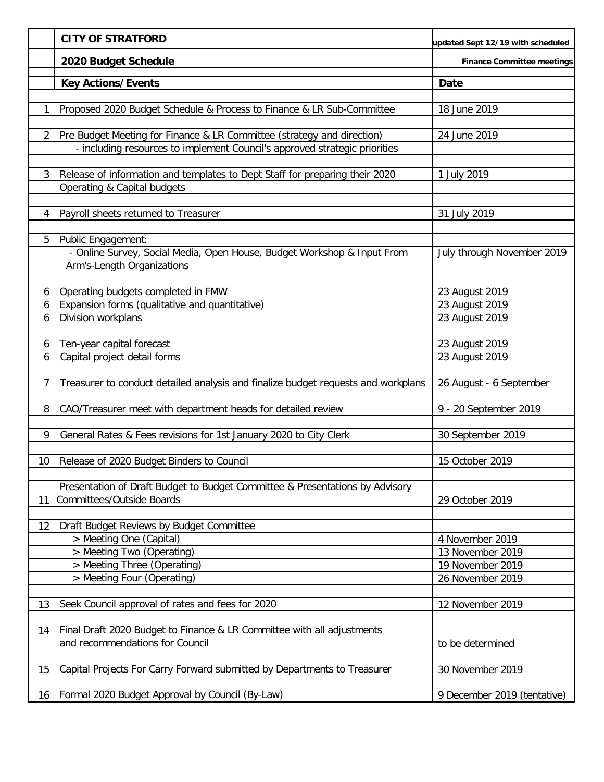|                | <b>CITY OF STRATFORD</b>                                                          | updated Sept 12/19 with scheduled |
|----------------|-----------------------------------------------------------------------------------|-----------------------------------|
|                | 2020 Budget Schedule                                                              | <b>Finance Committee meetings</b> |
|                | <b>Key Actions/Events</b>                                                         | <b>Date</b>                       |
|                |                                                                                   |                                   |
| 1              | Proposed 2020 Budget Schedule & Process to Finance & LR Sub-Committee             | 18 June 2019                      |
| 2              | Pre Budget Meeting for Finance & LR Committee (strategy and direction)            | 24 June 2019                      |
|                | - including resources to implement Council's approved strategic priorities        |                                   |
| 3              | Release of information and templates to Dept Staff for preparing their 2020       | 1 July 2019                       |
|                | Operating & Capital budgets                                                       |                                   |
|                |                                                                                   |                                   |
| 4              | Payroll sheets returned to Treasurer                                              | 31 July 2019                      |
| 5              | Public Engagement:                                                                |                                   |
|                | - Online Survey, Social Media, Open House, Budget Workshop & Input From           | July through November 2019        |
|                | Arm's-Length Organizations                                                        |                                   |
| 6              | Operating budgets completed in FMW                                                | 23 August 2019                    |
| 6              | Expansion forms (qualitative and quantitative)                                    | 23 August 2019                    |
| 6              | Division workplans                                                                | 23 August 2019                    |
|                |                                                                                   |                                   |
| 6              | Ten-year capital forecast                                                         | 23 August 2019                    |
| 6              | Capital project detail forms                                                      | 23 August 2019                    |
|                |                                                                                   |                                   |
| $\overline{7}$ | Treasurer to conduct detailed analysis and finalize budget requests and workplans | 26 August - 6 September           |
| 8              | CAO/Treasurer meet with department heads for detailed review                      | 9 - 20 September 2019             |
|                |                                                                                   |                                   |
| 9              | General Rates & Fees revisions for 1st January 2020 to City Clerk                 | 30 September 2019                 |
|                |                                                                                   |                                   |
| 10             | Release of 2020 Budget Binders to Council                                         | 15 October 2019                   |
|                |                                                                                   |                                   |
|                | Presentation of Draft Budget to Budget Committee & Presentations by Advisory      |                                   |
| 11             | <b>Committees/Outside Boards</b>                                                  | 29 October 2019                   |
|                |                                                                                   |                                   |
| 12             | Draft Budget Reviews by Budget Committee<br>> Meeting One (Capital)               | 4 November 2019                   |
|                | > Meeting Two (Operating)                                                         | 13 November 2019                  |
|                | > Meeting Three (Operating)                                                       | 19 November 2019                  |
|                | > Meeting Four (Operating)                                                        | 26 November 2019                  |
|                |                                                                                   |                                   |
| 13             | Seek Council approval of rates and fees for 2020                                  | 12 November 2019                  |
|                |                                                                                   |                                   |
| 14             | Final Draft 2020 Budget to Finance & LR Committee with all adjustments            |                                   |
|                | and recommendations for Council                                                   | to be determined                  |
|                |                                                                                   |                                   |
| 15             | Capital Projects For Carry Forward submitted by Departments to Treasurer          | 30 November 2019                  |
|                |                                                                                   |                                   |
| 16             | Formal 2020 Budget Approval by Council (By-Law)                                   | 9 December 2019 (tentative)       |